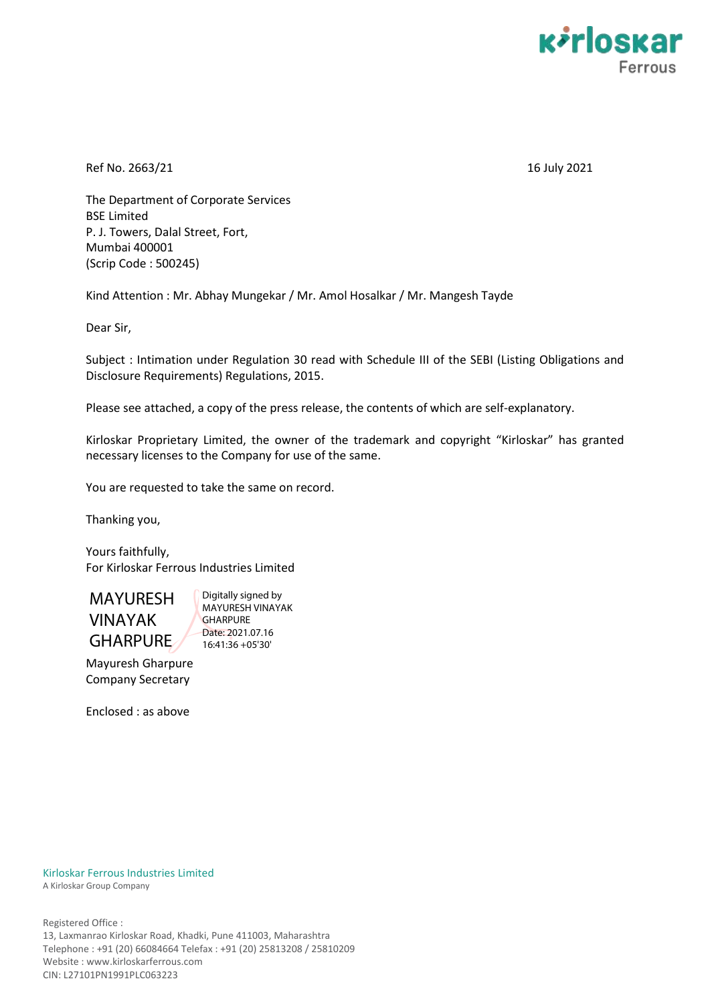

Ref No. 2663/21 16 July 2021

The Department of Corporate Services BSE Limited P. J. Towers, Dalal Street, Fort, Mumbai 400001 (Scrip Code : 500245)

Kind Attention : Mr. Abhay Mungekar / Mr. Amol Hosalkar / Mr. Mangesh Tayde

Dear Sir,

Subject : Intimation under Regulation 30 read with Schedule III of the SEBI (Listing Obligations and Disclosure Requirements) Regulations, 2015.

Please see attached, a copy of the press release, the contents of which are self-explanatory.

Kirloskar Proprietary Limited, the owner of the trademark and copyright "Kirloskar" has granted necessary licenses to the Company for use of the same.

You are requested to take the same on record.

Thanking you,

Yours faithfully, For Kirloskar Ferrous Industries Limited



Digitally signed by MAYURESH VINAYAK **GHARPURE** Date: 2021.07.16 16:41:36 +05'30'

Mayuresh Gharpure Company Secretary

Enclosed : as above

Kirloskar Ferrous Industries Limited A Kirloskar Group Company

Registered Office : 13, Laxmanrao Kirloskar Road, Khadki, Pune 411003, Maharashtra Telephone : +91 (20) 66084664 Telefax : +91 (20) 25813208 / 25810209 Website : www.kirloskarferrous.com CIN: L27101PN1991PLC063223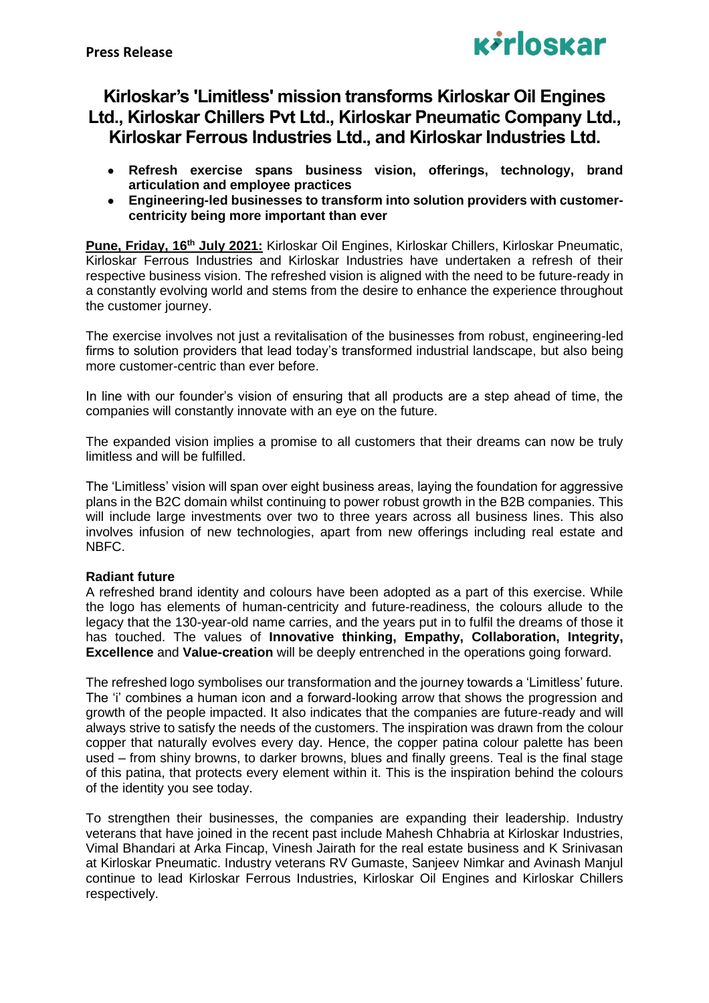

# **Kirloskar's 'Limitless' mission transforms Kirloskar Oil Engines Ltd., Kirloskar Chillers Pvt Ltd., Kirloskar Pneumatic Company Ltd., Kirloskar Ferrous Industries Ltd., and Kirloskar Industries Ltd.**

- **Refresh exercise spans business vision, offerings, technology, brand articulation and employee practices**
- **Engineering-led businesses to transform into solution providers with customercentricity being more important than ever**

**Pune, Friday, 16th July 2021:** Kirloskar Oil Engines, Kirloskar Chillers, Kirloskar Pneumatic, Kirloskar Ferrous Industries and Kirloskar Industries have undertaken a refresh of their respective business vision. The refreshed vision is aligned with the need to be future-ready in a constantly evolving world and stems from the desire to enhance the experience throughout the customer journey.

The exercise involves not just a revitalisation of the businesses from robust, engineering-led firms to solution providers that lead today's transformed industrial landscape, but also being more customer-centric than ever before.

In line with our founder's vision of ensuring that all products are a step ahead of time, the companies will constantly innovate with an eye on the future.

The expanded vision implies a promise to all customers that their dreams can now be truly limitless and will be fulfilled.

The 'Limitless' vision will span over eight business areas, laying the foundation for aggressive plans in the B2C domain whilst continuing to power robust growth in the B2B companies. This will include large investments over two to three years across all business lines. This also involves infusion of new technologies, apart from new offerings including real estate and NBFC.

# **Radiant future**

A refreshed brand identity and colours have been adopted as a part of this exercise. While the logo has elements of human-centricity and future-readiness, the colours allude to the legacy that the 130-year-old name carries, and the years put in to fulfil the dreams of those it has touched. The values of **Innovative thinking, Empathy, Collaboration, Integrity, Excellence** and **Value-creation** will be deeply entrenched in the operations going forward.

The refreshed logo symbolises our transformation and the journey towards a 'Limitless' future. The 'i' combines a human icon and a forward-looking arrow that shows the progression and growth of the people impacted. It also indicates that the companies are future-ready and will always strive to satisfy the needs of the customers. The inspiration was drawn from the colour copper that naturally evolves every day. Hence, the copper patina colour palette has been used – from shiny browns, to darker browns, blues and finally greens. Teal is the final stage of this patina, that protects every element within it. This is the inspiration behind the colours of the identity you see today.

To strengthen their businesses, the companies are expanding their leadership. Industry veterans that have joined in the recent past include Mahesh Chhabria at Kirloskar Industries, Vimal Bhandari at Arka Fincap, Vinesh Jairath for the real estate business and K Srinivasan at Kirloskar Pneumatic. Industry veterans RV Gumaste, Sanjeev Nimkar and Avinash Manjul continue to lead Kirloskar Ferrous Industries, Kirloskar Oil Engines and Kirloskar Chillers respectively.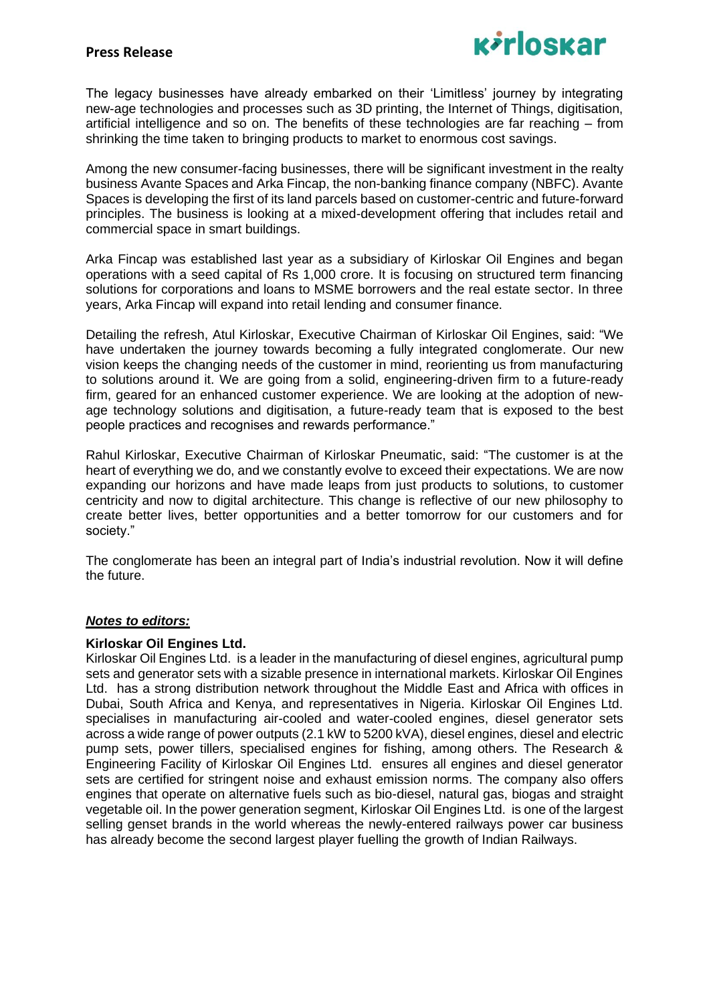

The legacy businesses have already embarked on their 'Limitless' journey by integrating new-age technologies and processes such as 3D printing, the Internet of Things, digitisation, artificial intelligence and so on. The benefits of these technologies are far reaching – from shrinking the time taken to bringing products to market to enormous cost savings.

Among the new consumer-facing businesses, there will be significant investment in the realty business Avante Spaces and Arka Fincap, the non-banking finance company (NBFC). Avante Spaces is developing the first of its land parcels based on customer-centric and future-forward principles. The business is looking at a mixed-development offering that includes retail and commercial space in smart buildings.

Arka Fincap was established last year as a subsidiary of Kirloskar Oil Engines and began operations with a seed capital of Rs 1,000 crore. It is focusing on structured term financing solutions for corporations and loans to MSME borrowers and the real estate sector. In three years, Arka Fincap will expand into retail lending and consumer finance.

Detailing the refresh, Atul Kirloskar, Executive Chairman of Kirloskar Oil Engines, said: "We have undertaken the journey towards becoming a fully integrated conglomerate. Our new vision keeps the changing needs of the customer in mind, reorienting us from manufacturing to solutions around it. We are going from a solid, engineering-driven firm to a future-ready firm, geared for an enhanced customer experience. We are looking at the adoption of newage technology solutions and digitisation, a future-ready team that is exposed to the best people practices and recognises and rewards performance."

Rahul Kirloskar, Executive Chairman of Kirloskar Pneumatic, said: "The customer is at the heart of everything we do, and we constantly evolve to exceed their expectations. We are now expanding our horizons and have made leaps from just products to solutions, to customer centricity and now to digital architecture. This change is reflective of our new philosophy to create better lives, better opportunities and a better tomorrow for our customers and for society."

The conglomerate has been an integral part of India's industrial revolution. Now it will define the future.

# *Notes to editors:*

#### **Kirloskar Oil Engines Ltd.**

Kirloskar Oil Engines Ltd. is a leader in the manufacturing of diesel engines, agricultural pump sets and generator sets with a sizable presence in international markets. Kirloskar Oil Engines Ltd. has a strong distribution network throughout the Middle East and Africa with offices in Dubai, South Africa and Kenya, and representatives in Nigeria. Kirloskar Oil Engines Ltd. specialises in manufacturing air-cooled and water-cooled engines, diesel generator sets across a wide range of power outputs (2.1 kW to 5200 kVA), diesel engines, diesel and electric pump sets, power tillers, specialised engines for fishing, among others. The Research & Engineering Facility of Kirloskar Oil Engines Ltd. ensures all engines and diesel generator sets are certified for stringent noise and exhaust emission norms. The company also offers engines that operate on alternative fuels such as bio-diesel, natural gas, biogas and straight vegetable oil. In the power generation segment, Kirloskar Oil Engines Ltd. is one of the largest selling genset brands in the world whereas the newly-entered railways power car business has already become the second largest player fuelling the growth of Indian Railways.